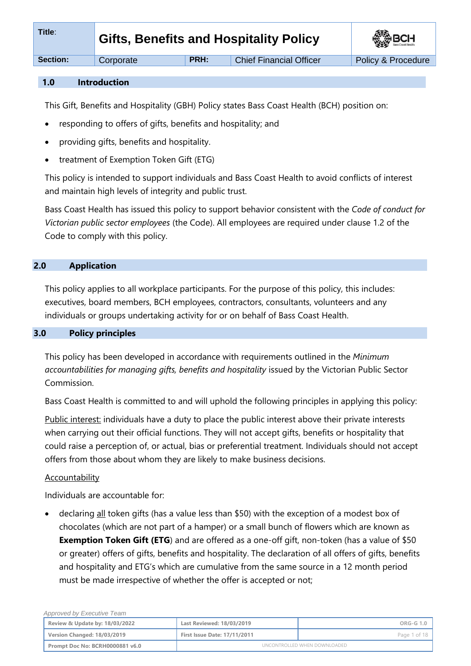| Title:          | <b>Gifts, Benefits and Hospitality Policy</b> |      | <b>SEP BCH</b>                 |                    |
|-----------------|-----------------------------------------------|------|--------------------------------|--------------------|
| <b>Section:</b> | Corporate                                     | PRH: | <b>Chief Financial Officer</b> | Policy & Procedure |
|                 |                                               |      |                                |                    |

### **1.0 Introduction**

This Gift, Benefits and Hospitality (GBH) Policy states Bass Coast Health (BCH) position on:

- responding to offers of gifts, benefits and hospitality; and
- providing gifts, benefits and hospitality.
- treatment of Exemption Token Gift (ETG)

This policy is intended to support individuals and Bass Coast Health to avoid conflicts of interest and maintain high levels of integrity and public trust.

Bass Coast Health has issued this policy to support behavior consistent with the *Code of conduct for Victorian public sector employees* (the Code). All employees are required under clause 1.2 of the Code to comply with this policy.

# **2.0 Application**

This policy applies to all workplace participants. For the purpose of this policy, this includes: executives, board members, BCH employees, contractors, consultants, volunteers and any individuals or groups undertaking activity for or on behalf of Bass Coast Health.

### **3.0 Policy principles**

This policy has been developed in accordance with requirements outlined in the *Minimum accountabilities for managing gifts, benefits and hospitality* issued by the Victorian Public Sector Commission.

Bass Coast Health is committed to and will uphold the following principles in applying this policy:

Public interest: individuals have a duty to place the public interest above their private interests when carrying out their official functions. They will not accept gifts, benefits or hospitality that could raise a perception of, or actual, bias or preferential treatment. Individuals should not accept offers from those about whom they are likely to make business decisions.

## **Accountability**

Individuals are accountable for:

declaring all token gifts (has a value less than \$50) with the exception of a modest box of chocolates (which are not part of a hamper) or a small bunch of flowers which are known as **Exemption Token Gift (ETG**) and are offered as a one-off gift, non-token (has a value of \$50 or greater) offers of gifts, benefits and hospitality. The declaration of all offers of gifts, benefits and hospitality and ETG's which are cumulative from the same source in a 12 month period must be made irrespective of whether the offer is accepted or not;

| Approved by Executive Team      |                                     |                              |
|---------------------------------|-------------------------------------|------------------------------|
| Review & Update by: 18/03/2022  | Last Reviewed: 18/03/2019           | ORG-G 1.0                    |
| Version Changed: 18/03/2019     | <b>First Issue Date: 17/11/2011</b> | Page 1 of 18                 |
| Prompt Doc No: BCRH0000881 v6.0 |                                     | UNCONTROLLED WHEN DOWNLOADED |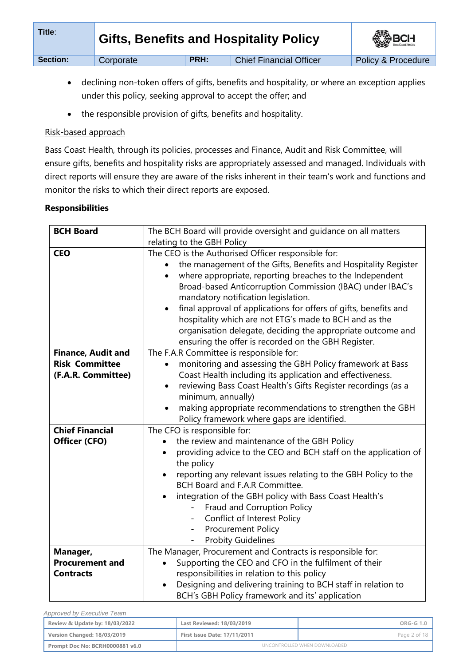| Title:   |           | <b>Gifts, Benefits and Hospitality Policy</b> |                                | <b>BOH</b>         |
|----------|-----------|-----------------------------------------------|--------------------------------|--------------------|
| Section: | Corporate | <b>PRH:</b>                                   | <b>Chief Financial Officer</b> | Policy & Procedure |

- declining non-token offers of gifts, benefits and hospitality, or where an exception applies under this policy, seeking approval to accept the offer; and
- the responsible provision of gifts, benefits and hospitality.

# Risk-based approach

Bass Coast Health, through its policies, processes and Finance, Audit and Risk Committee, will ensure gifts, benefits and hospitality risks are appropriately assessed and managed. Individuals with direct reports will ensure they are aware of the risks inherent in their team's work and functions and monitor the risks to which their direct reports are exposed.

# **Responsibilities**

| <b>BCH Board</b>          | The BCH Board will provide oversight and guidance on all matters                                                                                                                                                                                                                                                                                                                                                                                                                                                                                                   |  |  |  |
|---------------------------|--------------------------------------------------------------------------------------------------------------------------------------------------------------------------------------------------------------------------------------------------------------------------------------------------------------------------------------------------------------------------------------------------------------------------------------------------------------------------------------------------------------------------------------------------------------------|--|--|--|
|                           | relating to the GBH Policy                                                                                                                                                                                                                                                                                                                                                                                                                                                                                                                                         |  |  |  |
| <b>CEO</b>                | The CEO is the Authorised Officer responsible for:<br>the management of the Gifts, Benefits and Hospitality Register<br>where appropriate, reporting breaches to the Independent<br>$\bullet$<br>Broad-based Anticorruption Commission (IBAC) under IBAC's<br>mandatory notification legislation.<br>final approval of applications for offers of gifts, benefits and<br>$\bullet$<br>hospitality which are not ETG's made to BCH and as the<br>organisation delegate, deciding the appropriate outcome and<br>ensuring the offer is recorded on the GBH Register. |  |  |  |
| <b>Finance, Audit and</b> | The F.A.R Committee is responsible for:                                                                                                                                                                                                                                                                                                                                                                                                                                                                                                                            |  |  |  |
| <b>Risk Committee</b>     | monitoring and assessing the GBH Policy framework at Bass                                                                                                                                                                                                                                                                                                                                                                                                                                                                                                          |  |  |  |
| (F.A.R. Committee)        | Coast Health including its application and effectiveness.                                                                                                                                                                                                                                                                                                                                                                                                                                                                                                          |  |  |  |
|                           | reviewing Bass Coast Health's Gifts Register recordings (as a<br>٠                                                                                                                                                                                                                                                                                                                                                                                                                                                                                                 |  |  |  |
|                           | minimum, annually)                                                                                                                                                                                                                                                                                                                                                                                                                                                                                                                                                 |  |  |  |
|                           | making appropriate recommendations to strengthen the GBH<br>$\bullet$                                                                                                                                                                                                                                                                                                                                                                                                                                                                                              |  |  |  |
|                           | Policy framework where gaps are identified.                                                                                                                                                                                                                                                                                                                                                                                                                                                                                                                        |  |  |  |
| <b>Chief Financial</b>    | The CFO is responsible for:                                                                                                                                                                                                                                                                                                                                                                                                                                                                                                                                        |  |  |  |
| Officer (CFO)             | the review and maintenance of the GBH Policy                                                                                                                                                                                                                                                                                                                                                                                                                                                                                                                       |  |  |  |
|                           | providing advice to the CEO and BCH staff on the application of<br>the policy                                                                                                                                                                                                                                                                                                                                                                                                                                                                                      |  |  |  |
|                           | reporting any relevant issues relating to the GBH Policy to the                                                                                                                                                                                                                                                                                                                                                                                                                                                                                                    |  |  |  |
|                           | BCH Board and F.A.R Committee.                                                                                                                                                                                                                                                                                                                                                                                                                                                                                                                                     |  |  |  |
|                           | integration of the GBH policy with Bass Coast Health's                                                                                                                                                                                                                                                                                                                                                                                                                                                                                                             |  |  |  |
|                           | Fraud and Corruption Policy<br>$\frac{1}{2}$                                                                                                                                                                                                                                                                                                                                                                                                                                                                                                                       |  |  |  |
|                           | Conflict of Interest Policy                                                                                                                                                                                                                                                                                                                                                                                                                                                                                                                                        |  |  |  |
|                           | <b>Procurement Policy</b>                                                                                                                                                                                                                                                                                                                                                                                                                                                                                                                                          |  |  |  |
|                           | <b>Probity Guidelines</b>                                                                                                                                                                                                                                                                                                                                                                                                                                                                                                                                          |  |  |  |
| Manager,                  | The Manager, Procurement and Contracts is responsible for:                                                                                                                                                                                                                                                                                                                                                                                                                                                                                                         |  |  |  |
| <b>Procurement and</b>    | Supporting the CEO and CFO in the fulfilment of their                                                                                                                                                                                                                                                                                                                                                                                                                                                                                                              |  |  |  |
| <b>Contracts</b>          | responsibilities in relation to this policy                                                                                                                                                                                                                                                                                                                                                                                                                                                                                                                        |  |  |  |
|                           | Designing and delivering training to BCH staff in relation to<br>BCH's GBH Policy framework and its' application                                                                                                                                                                                                                                                                                                                                                                                                                                                   |  |  |  |

| Approved by Executive Team      |                                     |                              |
|---------------------------------|-------------------------------------|------------------------------|
| Review & Update by: 18/03/2022  | Last Reviewed: 18/03/2019           | ORG-G 1.0                    |
| Version Changed: 18/03/2019     | <b>First Issue Date: 17/11/2011</b> | Page 2 of 18                 |
| Prompt Doc No: BCRH0000881 v6.0 |                                     | UNCONTROLLED WHEN DOWNLOADED |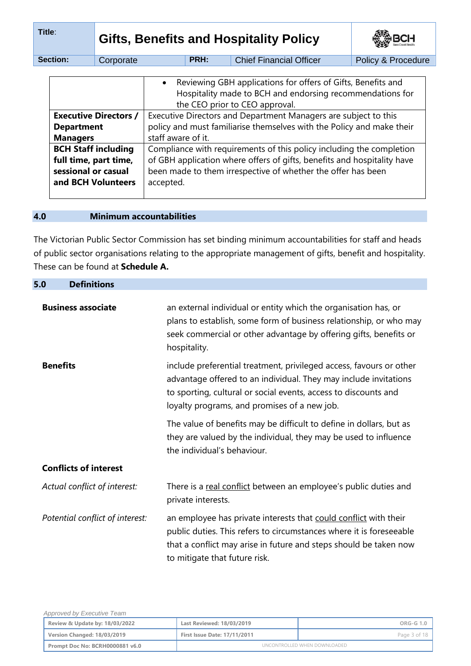| Title:                                                                                                                                                                                                                                 |                                                                                                    |           | <b>Gifts, Benefits and Hospitality Policy</b>                                                                                                               |  |                    | BCH |
|----------------------------------------------------------------------------------------------------------------------------------------------------------------------------------------------------------------------------------------|----------------------------------------------------------------------------------------------------|-----------|-------------------------------------------------------------------------------------------------------------------------------------------------------------|--|--------------------|-----|
|                                                                                                                                                                                                                                        | Section:                                                                                           | Corporate | PRH:<br><b>Chief Financial Officer</b>                                                                                                                      |  | Policy & Procedure |     |
|                                                                                                                                                                                                                                        |                                                                                                    |           | Reviewing GBH applications for offers of Gifts, Benefits and<br>Hospitality made to BCH and endorsing recommendations for<br>the CEO prior to CEO approval. |  |                    |     |
| Executive Directors and Department Managers are subject to this<br><b>Executive Directors /</b><br>policy and must familiarise themselves with the Policy and make their<br><b>Department</b><br>staff aware of it.<br><b>Managers</b> |                                                                                                    |           |                                                                                                                                                             |  |                    |     |
|                                                                                                                                                                                                                                        | <b>BCH Staff including</b><br>Compliance with requirements of this policy including the completion |           |                                                                                                                                                             |  |                    |     |

**full time, part time, sessional or casual and BCH Volunteers** of GBH application where offers of gifts, benefits and hospitality have been made to them irrespective of whether the offer has been accepted.

# **4.0 Minimum accountabilities**

The Victorian Public Sector Commission has set binding minimum accountabilities for staff and heads of public sector organisations relating to the appropriate management of gifts, benefit and hospitality. These can be found at **Schedule A.** 

| 5.0<br><b>Definitions</b>       |                                                                                                                                                                                                                                                            |
|---------------------------------|------------------------------------------------------------------------------------------------------------------------------------------------------------------------------------------------------------------------------------------------------------|
| <b>Business associate</b>       | an external individual or entity which the organisation has, or<br>plans to establish, some form of business relationship, or who may<br>seek commercial or other advantage by offering gifts, benefits or<br>hospitality.                                 |
| <b>Benefits</b>                 | include preferential treatment, privileged access, favours or other<br>advantage offered to an individual. They may include invitations<br>to sporting, cultural or social events, access to discounts and<br>loyalty programs, and promises of a new job. |
|                                 | The value of benefits may be difficult to define in dollars, but as<br>they are valued by the individual, they may be used to influence<br>the individual's behaviour.                                                                                     |
| <b>Conflicts of interest</b>    |                                                                                                                                                                                                                                                            |
| Actual conflict of interest:    | There is a real conflict between an employee's public duties and<br>private interests.                                                                                                                                                                     |
| Potential conflict of interest: | an employee has private interests that could conflict with their<br>public duties. This refers to circumstances where it is foreseeable<br>that a conflict may arise in future and steps should be taken now<br>to mitigate that future risk.              |

| Approved by Executive Team      |                                     |                              |  |
|---------------------------------|-------------------------------------|------------------------------|--|
| Review & Update by: 18/03/2022  | Last Reviewed: 18/03/2019           | ORG-G 1.0                    |  |
| Version Changed: 18/03/2019     | <b>First Issue Date: 17/11/2011</b> | Page 3 of 18                 |  |
| Prompt Doc No: BCRH0000881 v6.0 |                                     | UNCONTROLLED WHEN DOWNLOADED |  |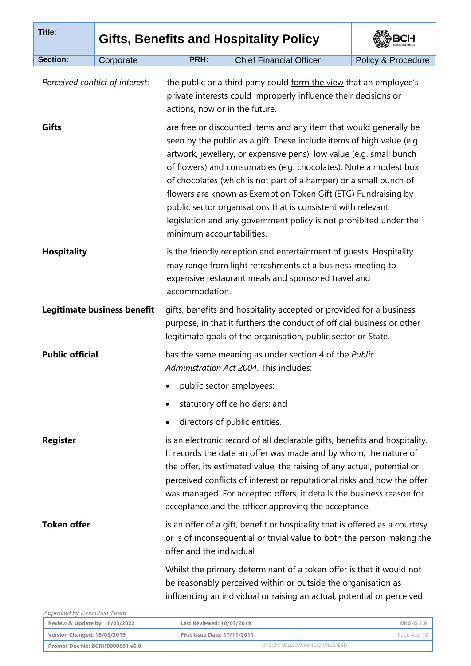| PRH: | <b>Chief Financial Officer</b><br>the public or a third party could form the view that an employee's<br>private interests could improperly influence their decisions or<br>actions, now or in the future. | Policy & Procedure                                                                                                                                                                                                                                                                                                                                                                                                                                                                                                                                                                                                                                                                                                                                                                                                                                                                                                                                                                                                                                                                                                                                                                                                                                                                                                                                                                                                                                                                                                                                                                                                                                                                                                                                                                                                                                                                                                                 |
|------|-----------------------------------------------------------------------------------------------------------------------------------------------------------------------------------------------------------|------------------------------------------------------------------------------------------------------------------------------------------------------------------------------------------------------------------------------------------------------------------------------------------------------------------------------------------------------------------------------------------------------------------------------------------------------------------------------------------------------------------------------------------------------------------------------------------------------------------------------------------------------------------------------------------------------------------------------------------------------------------------------------------------------------------------------------------------------------------------------------------------------------------------------------------------------------------------------------------------------------------------------------------------------------------------------------------------------------------------------------------------------------------------------------------------------------------------------------------------------------------------------------------------------------------------------------------------------------------------------------------------------------------------------------------------------------------------------------------------------------------------------------------------------------------------------------------------------------------------------------------------------------------------------------------------------------------------------------------------------------------------------------------------------------------------------------------------------------------------------------------------------------------------------------|
|      |                                                                                                                                                                                                           |                                                                                                                                                                                                                                                                                                                                                                                                                                                                                                                                                                                                                                                                                                                                                                                                                                                                                                                                                                                                                                                                                                                                                                                                                                                                                                                                                                                                                                                                                                                                                                                                                                                                                                                                                                                                                                                                                                                                    |
|      |                                                                                                                                                                                                           |                                                                                                                                                                                                                                                                                                                                                                                                                                                                                                                                                                                                                                                                                                                                                                                                                                                                                                                                                                                                                                                                                                                                                                                                                                                                                                                                                                                                                                                                                                                                                                                                                                                                                                                                                                                                                                                                                                                                    |
|      | are free or discounted items and any item that would generally be<br>seen by the public as a gift. These include items of high value (e.g.                                                                |                                                                                                                                                                                                                                                                                                                                                                                                                                                                                                                                                                                                                                                                                                                                                                                                                                                                                                                                                                                                                                                                                                                                                                                                                                                                                                                                                                                                                                                                                                                                                                                                                                                                                                                                                                                                                                                                                                                                    |
|      |                                                                                                                                                                                                           |                                                                                                                                                                                                                                                                                                                                                                                                                                                                                                                                                                                                                                                                                                                                                                                                                                                                                                                                                                                                                                                                                                                                                                                                                                                                                                                                                                                                                                                                                                                                                                                                                                                                                                                                                                                                                                                                                                                                    |
|      |                                                                                                                                                                                                           |                                                                                                                                                                                                                                                                                                                                                                                                                                                                                                                                                                                                                                                                                                                                                                                                                                                                                                                                                                                                                                                                                                                                                                                                                                                                                                                                                                                                                                                                                                                                                                                                                                                                                                                                                                                                                                                                                                                                    |
|      |                                                                                                                                                                                                           |                                                                                                                                                                                                                                                                                                                                                                                                                                                                                                                                                                                                                                                                                                                                                                                                                                                                                                                                                                                                                                                                                                                                                                                                                                                                                                                                                                                                                                                                                                                                                                                                                                                                                                                                                                                                                                                                                                                                    |
|      |                                                                                                                                                                                                           |                                                                                                                                                                                                                                                                                                                                                                                                                                                                                                                                                                                                                                                                                                                                                                                                                                                                                                                                                                                                                                                                                                                                                                                                                                                                                                                                                                                                                                                                                                                                                                                                                                                                                                                                                                                                                                                                                                                                    |
|      |                                                                                                                                                                                                           |                                                                                                                                                                                                                                                                                                                                                                                                                                                                                                                                                                                                                                                                                                                                                                                                                                                                                                                                                                                                                                                                                                                                                                                                                                                                                                                                                                                                                                                                                                                                                                                                                                                                                                                                                                                                                                                                                                                                    |
|      |                                                                                                                                                                                                           |                                                                                                                                                                                                                                                                                                                                                                                                                                                                                                                                                                                                                                                                                                                                                                                                                                                                                                                                                                                                                                                                                                                                                                                                                                                                                                                                                                                                                                                                                                                                                                                                                                                                                                                                                                                                                                                                                                                                    |
|      |                                                                                                                                                                                                           |                                                                                                                                                                                                                                                                                                                                                                                                                                                                                                                                                                                                                                                                                                                                                                                                                                                                                                                                                                                                                                                                                                                                                                                                                                                                                                                                                                                                                                                                                                                                                                                                                                                                                                                                                                                                                                                                                                                                    |
|      |                                                                                                                                                                                                           |                                                                                                                                                                                                                                                                                                                                                                                                                                                                                                                                                                                                                                                                                                                                                                                                                                                                                                                                                                                                                                                                                                                                                                                                                                                                                                                                                                                                                                                                                                                                                                                                                                                                                                                                                                                                                                                                                                                                    |
|      |                                                                                                                                                                                                           |                                                                                                                                                                                                                                                                                                                                                                                                                                                                                                                                                                                                                                                                                                                                                                                                                                                                                                                                                                                                                                                                                                                                                                                                                                                                                                                                                                                                                                                                                                                                                                                                                                                                                                                                                                                                                                                                                                                                    |
|      | <b>Legitimate business benefit</b>                                                                                                                                                                        | artwork, jewellery, or expensive pens), low value (e.g. small bunch<br>of flowers) and consumables (e.g. chocolates). Note a modest box<br>of chocolates (which is not part of a hamper) or a small bunch of<br>flowers are known as Exemption Token Gift (ETG) Fundraising by<br>public sector organisations that is consistent with relevant<br>legislation and any government policy is not prohibited under the<br>minimum accountabilities.<br>is the friendly reception and entertainment of guests. Hospitality<br>may range from light refreshments at a business meeting to<br>expensive restaurant meals and sponsored travel and<br>accommodation.<br>gifts, benefits and hospitality accepted or provided for a business<br>purpose, in that it furthers the conduct of official business or other<br>legitimate goals of the organisation, public sector or State.<br>has the same meaning as under section 4 of the Public<br>Administration Act 2004. This includes:<br>public sector employees;<br>statutory office holders; and<br>directors of public entities.<br>is an electronic record of all declarable gifts, benefits and hospitality.<br>It records the date an offer was made and by whom, the nature of<br>the offer, its estimated value, the raising of any actual, potential or<br>perceived conflicts of interest or reputational risks and how the offer<br>was managed. For accepted offers, it details the business reason for<br>acceptance and the officer approving the acceptance.<br>is an offer of a gift, benefit or hospitality that is offered as a courtesy<br>or is of inconsequential or trivial value to both the person making the<br>offer and the individual<br>Whilst the primary determinant of a token offer is that it would not<br>be reasonably perceived within or outside the organisation as<br>influencing an individual or raising an actual, potential or perceived |

| Review & Update by: 18/03/2022  | Last Reviewed: 18/03/2019           | ORG-G 1.0    |
|---------------------------------|-------------------------------------|--------------|
| Version Changed: 18/03/2019     | <b>First Issue Date: 17/11/2011</b> | Page 4 of 18 |
| Prompt Doc No: BCRH0000881 v6.0 | UNCONTROLLED WHEN DOWNLOADED        |              |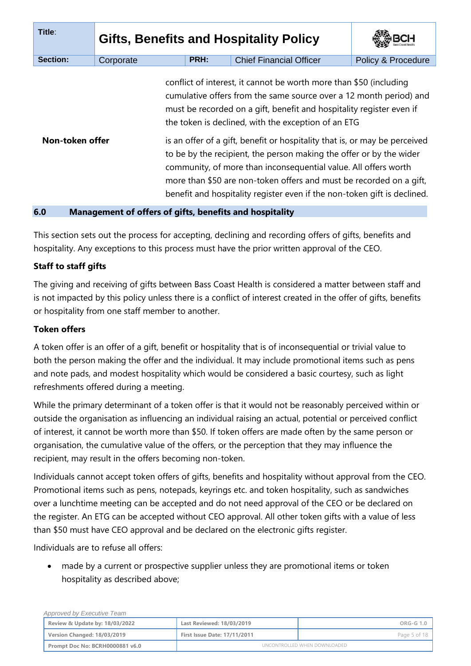| Title:          |           | <b>Gifts, Benefits and Hospitality Policy</b> |                                                                                                                                                                                                                                                                                                                                                                                                                                                                                                                                                                                                                                                    |                               |
|-----------------|-----------|-----------------------------------------------|----------------------------------------------------------------------------------------------------------------------------------------------------------------------------------------------------------------------------------------------------------------------------------------------------------------------------------------------------------------------------------------------------------------------------------------------------------------------------------------------------------------------------------------------------------------------------------------------------------------------------------------------------|-------------------------------|
| Section:        | Corporate | PRH:                                          | <b>Chief Financial Officer</b>                                                                                                                                                                                                                                                                                                                                                                                                                                                                                                                                                                                                                     | <b>Policy &amp; Procedure</b> |
| Non-token offer |           |                                               | conflict of interest, it cannot be worth more than \$50 (including<br>cumulative offers from the same source over a 12 month period) and<br>must be recorded on a gift, benefit and hospitality register even if<br>the token is declined, with the exception of an ETG<br>is an offer of a gift, benefit or hospitality that is, or may be perceived<br>to be by the recipient, the person making the offer or by the wider<br>community, of more than inconsequential value. All offers worth<br>more than \$50 are non-token offers and must be recorded on a gift,<br>benefit and hospitality register even if the non-token gift is declined. |                               |

#### **6.0 Management of offers of gifts, benefits and hospitality**

This section sets out the process for accepting, declining and recording offers of gifts, benefits and hospitality. Any exceptions to this process must have the prior written approval of the CEO.

## **Staff to staff gifts**

The giving and receiving of gifts between Bass Coast Health is considered a matter between staff and is not impacted by this policy unless there is a conflict of interest created in the offer of gifts, benefits or hospitality from one staff member to another.

## **Token offers**

A token offer is an offer of a gift, benefit or hospitality that is of inconsequential or trivial value to both the person making the offer and the individual. It may include promotional items such as pens and note pads, and modest hospitality which would be considered a basic courtesy, such as light refreshments offered during a meeting.

While the primary determinant of a token offer is that it would not be reasonably perceived within or outside the organisation as influencing an individual raising an actual, potential or perceived conflict of interest, it cannot be worth more than \$50. If token offers are made often by the same person or organisation, the cumulative value of the offers, or the perception that they may influence the recipient, may result in the offers becoming non-token.

Individuals cannot accept token offers of gifts, benefits and hospitality without approval from the CEO. Promotional items such as pens, notepads, keyrings etc. and token hospitality, such as sandwiches over a lunchtime meeting can be accepted and do not need approval of the CEO or be declared on the register. An ETG can be accepted without CEO approval. All other token gifts with a value of less than \$50 must have CEO approval and be declared on the electronic gifts register.

Individuals are to refuse all offers:

 *Approved by Executive Team*

 made by a current or prospective supplier unless they are promotional items or token hospitality as described above;

| Approved by Executive Team |                                 |                                     |                              |  |
|----------------------------|---------------------------------|-------------------------------------|------------------------------|--|
|                            | Review & Update by: 18/03/2022  | Last Reviewed: 18/03/2019           | ORG-G 1.0                    |  |
|                            | Version Changed: 18/03/2019     | <b>First Issue Date: 17/11/2011</b> | Page 5 of 18                 |  |
|                            | Prompt Doc No: BCRH0000881 v6.0 |                                     | UNCONTROLLED WHEN DOWNLOADED |  |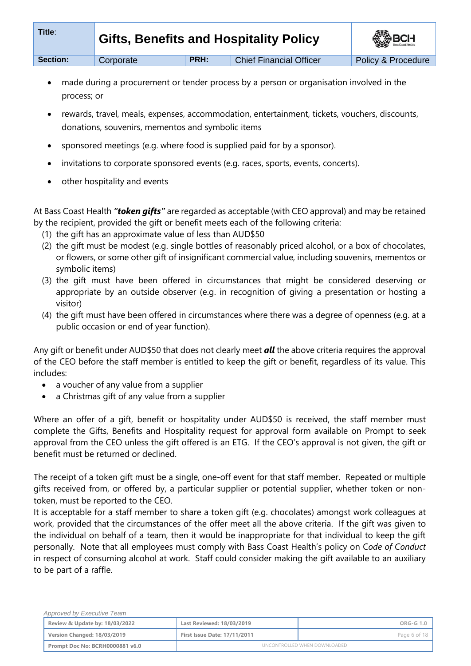| Title:          | <b>Gifts, Benefits and Hospitality Policy</b> |      |                                | <b>SEP BCH</b>     |
|-----------------|-----------------------------------------------|------|--------------------------------|--------------------|
| <b>Section:</b> | Corporate                                     | PRH: | <b>Chief Financial Officer</b> | Policy & Procedure |

- made during a procurement or tender process by a person or organisation involved in the process; or
- rewards, travel, meals, expenses, accommodation, entertainment, tickets, vouchers, discounts, donations, souvenirs, mementos and symbolic items
- sponsored meetings (e.g. where food is supplied paid for by a sponsor).
- invitations to corporate sponsored events (e.g. races, sports, events, concerts).
- other hospitality and events

At Bass Coast Health *"token gifts"* are regarded as acceptable (with CEO approval) and may be retained by the recipient, provided the gift or benefit meets each of the following criteria:

- (1) the gift has an approximate value of less than AUD\$50
- (2) the gift must be modest (e.g. single bottles of reasonably priced alcohol, or a box of chocolates, or flowers, or some other gift of insignificant commercial value, including souvenirs, mementos or symbolic items)
- (3) the gift must have been offered in circumstances that might be considered deserving or appropriate by an outside observer (e.g. in recognition of giving a presentation or hosting a visitor)
- (4) the gift must have been offered in circumstances where there was a degree of openness (e.g. at a public occasion or end of year function).

Any gift or benefit under AUD\$50 that does not clearly meet *all* the above criteria requires the approval of the CEO before the staff member is entitled to keep the gift or benefit, regardless of its value. This includes:

- a voucher of any value from a supplier
- a Christmas gift of any value from a supplier

Where an offer of a gift, benefit or hospitality under AUD\$50 is received, the staff member must complete the Gifts, Benefits and Hospitality request for approval form available on Prompt to seek approval from the CEO unless the gift offered is an ETG. If the CEO's approval is not given, the gift or benefit must be returned or declined.

The receipt of a token gift must be a single, one-off event for that staff member. Repeated or multiple gifts received from, or offered by, a particular supplier or potential supplier, whether token or nontoken, must be reported to the CEO.

It is acceptable for a staff member to share a token gift (e.g. chocolates) amongst work colleagues at work, provided that the circumstances of the offer meet all the above criteria. If the gift was given to the individual on behalf of a team, then it would be inappropriate for that individual to keep the gift personally. Note that all employees must comply with Bass Coast Health's policy on C*ode of Conduct* in respect of consuming alcohol at work. Staff could consider making the gift available to an auxiliary to be part of a raffle.

| Approved by Executive Team      |                                     |                              |
|---------------------------------|-------------------------------------|------------------------------|
| Review & Update by: 18/03/2022  | Last Reviewed: 18/03/2019           | ORG-G 1.0                    |
| Version Changed: 18/03/2019     | <b>First Issue Date: 17/11/2011</b> | Page 6 of 18                 |
| Prompt Doc No: BCRH0000881 v6.0 |                                     | UNCONTROLLED WHEN DOWNLOADED |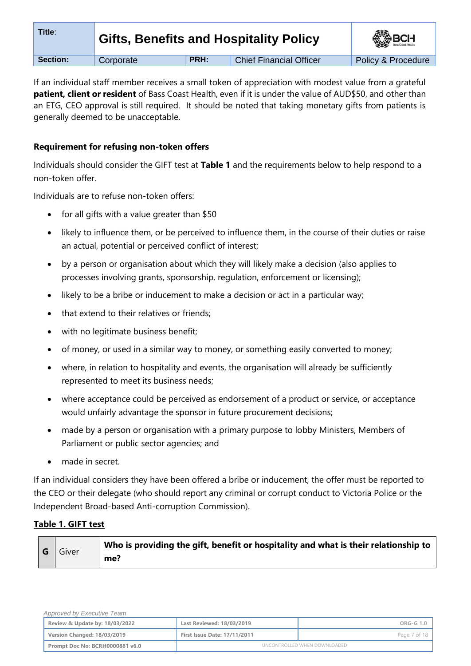| Title:          | <b>Gifts, Benefits and Hospitality Policy</b> | <b>BOH</b> |                                |                               |
|-----------------|-----------------------------------------------|------------|--------------------------------|-------------------------------|
| <b>Section:</b> | Corporate                                     | PRH:       | <b>Chief Financial Officer</b> | <b>Policy &amp; Procedure</b> |

If an individual staff member receives a small token of appreciation with modest value from a grateful **patient, client or resident** of Bass Coast Health, even if it is under the value of AUD\$50, and other than an ETG, CEO approval is still required. It should be noted that taking monetary gifts from patients is generally deemed to be unacceptable.

## **Requirement for refusing non-token offers**

Individuals should consider the GIFT test at **Table 1** and the requirements below to help respond to a non-token offer.

Individuals are to refuse non-token offers:

- $\bullet$  for all gifts with a value greater than \$50
- likely to influence them, or be perceived to influence them, in the course of their duties or raise an actual, potential or perceived conflict of interest;
- by a person or organisation about which they will likely make a decision (also applies to processes involving grants, sponsorship, regulation, enforcement or licensing);
- likely to be a bribe or inducement to make a decision or act in a particular way;
- that extend to their relatives or friends;
- with no legitimate business benefit;
- of money, or used in a similar way to money, or something easily converted to money;
- where, in relation to hospitality and events, the organisation will already be sufficiently represented to meet its business needs;
- where acceptance could be perceived as endorsement of a product or service, or acceptance would unfairly advantage the sponsor in future procurement decisions;
- made by a person or organisation with a primary purpose to lobby Ministers, Members of Parliament or public sector agencies; and
- made in secret.

If an individual considers they have been offered a bribe or inducement, the offer must be reported to the CEO or their delegate (who should report any criminal or corrupt conduct to Victoria Police or the Independent Broad-based Anti-corruption Commission).

# **Table 1. GIFT test**

| G Giver | $^{\text{!}}$ Who is providing the gift, benefit or hospitality and what is their relationship to |     |
|---------|---------------------------------------------------------------------------------------------------|-----|
|         |                                                                                                   | me? |

| Approved by Executive Team      |                                     |                              |
|---------------------------------|-------------------------------------|------------------------------|
| Review & Update by: 18/03/2022  | Last Reviewed: 18/03/2019           | ORG-G 1.0                    |
| Version Changed: 18/03/2019     | <b>First Issue Date: 17/11/2011</b> | Page 7 of 18                 |
| Prompt Doc No: BCRH0000881 v6.0 |                                     | UNCONTROLLED WHEN DOWNLOADED |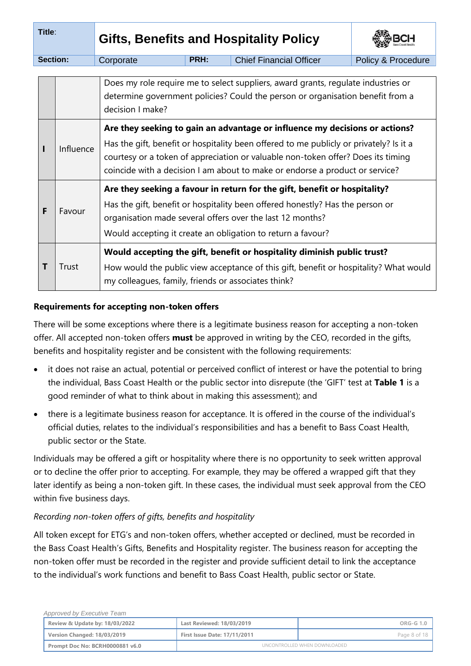| Title:          |           | <b>Gifts, Benefits and Hospitality Policy</b>                                                                                                                                                                                                                                                                                             |      |                                |                    |  |  |
|-----------------|-----------|-------------------------------------------------------------------------------------------------------------------------------------------------------------------------------------------------------------------------------------------------------------------------------------------------------------------------------------------|------|--------------------------------|--------------------|--|--|
| <b>Section:</b> |           | Corporate                                                                                                                                                                                                                                                                                                                                 | PRH: | <b>Chief Financial Officer</b> | Policy & Procedure |  |  |
|                 |           | Does my role require me to select suppliers, award grants, regulate industries or<br>determine government policies? Could the person or organisation benefit from a<br>decision I make?                                                                                                                                                   |      |                                |                    |  |  |
|                 | Influence | Are they seeking to gain an advantage or influence my decisions or actions?<br>Has the gift, benefit or hospitality been offered to me publicly or privately? Is it a<br>courtesy or a token of appreciation or valuable non-token offer? Does its timing<br>coincide with a decision I am about to make or endorse a product or service? |      |                                |                    |  |  |
| F               | Favour    | Are they seeking a favour in return for the gift, benefit or hospitality?<br>Has the gift, benefit or hospitality been offered honestly? Has the person or<br>organisation made several offers over the last 12 months?<br>Would accepting it create an obligation to return a favour?                                                    |      |                                |                    |  |  |
| Т               | Trust     | Would accepting the gift, benefit or hospitality diminish public trust?<br>How would the public view acceptance of this gift, benefit or hospitality? What would<br>my colleagues, family, friends or associates think?                                                                                                                   |      |                                |                    |  |  |

# **Requirements for accepting non-token offers**

There will be some exceptions where there is a legitimate business reason for accepting a non-token offer. All accepted non-token offers **must** be approved in writing by the CEO, recorded in the gifts, benefits and hospitality register and be consistent with the following requirements:

- it does not raise an actual, potential or perceived conflict of interest or have the potential to bring the individual, Bass Coast Health or the public sector into disrepute (the 'GIFT' test at **Table 1** is a good reminder of what to think about in making this assessment); and
- there is a legitimate business reason for acceptance. It is offered in the course of the individual's official duties, relates to the individual's responsibilities and has a benefit to Bass Coast Health, public sector or the State.

Individuals may be offered a gift or hospitality where there is no opportunity to seek written approval or to decline the offer prior to accepting. For example, they may be offered a wrapped gift that they later identify as being a non-token gift. In these cases, the individual must seek approval from the CEO within five business days.

# *Recording non-token offers of gifts, benefits and hospitality*

All token except for ETG's and non-token offers, whether accepted or declined, must be recorded in the Bass Coast Health's Gifts, Benefits and Hospitality register. The business reason for accepting the non-token offer must be recorded in the register and provide sufficient detail to link the acceptance to the individual's work functions and benefit to Bass Coast Health, public sector or State.

| Approved by Executive Team      |                                     |                              |
|---------------------------------|-------------------------------------|------------------------------|
| Review & Update by: 18/03/2022  | Last Reviewed: 18/03/2019           | ORG-G 1.0                    |
| Version Changed: 18/03/2019     | <b>First Issue Date: 17/11/2011</b> | Page 8 of 18                 |
| Prompt Doc No: BCRH0000881 v6.0 |                                     | UNCONTROLLED WHEN DOWNLOADED |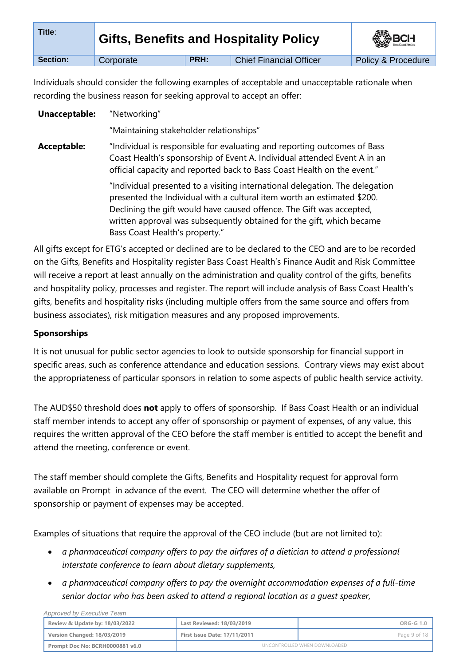| Title:   | <b>Gifts, Benefits and Hospitality Policy</b> | <b>SEP BCH</b> |                                |                    |
|----------|-----------------------------------------------|----------------|--------------------------------|--------------------|
| Section: | Corporate                                     | PRH:           | <b>Chief Financial Officer</b> | Policy & Procedure |

Individuals should consider the following examples of acceptable and unacceptable rationale when recording the business reason for seeking approval to accept an offer:

**Unacceptable:** "Networking"

"Maintaining stakeholder relationships"

**Acceptable:** "Individual is responsible for evaluating and reporting outcomes of Bass Coast Health's sponsorship of Event A. Individual attended Event A in an official capacity and reported back to Bass Coast Health on the event."

> "Individual presented to a visiting international delegation. The delegation presented the Individual with a cultural item worth an estimated \$200. Declining the gift would have caused offence. The Gift was accepted, written approval was subsequently obtained for the gift, which became Bass Coast Health's property."

All gifts except for ETG's accepted or declined are to be declared to the CEO and are to be recorded on the Gifts, Benefits and Hospitality register Bass Coast Health's Finance Audit and Risk Committee will receive a report at least annually on the administration and quality control of the gifts, benefits and hospitality policy, processes and register. The report will include analysis of Bass Coast Health's gifts, benefits and hospitality risks (including multiple offers from the same source and offers from business associates), risk mitigation measures and any proposed improvements.

# **Sponsorships**

 *Approved by Executive Team*

It is not unusual for public sector agencies to look to outside sponsorship for financial support in specific areas, such as conference attendance and education sessions. Contrary views may exist about the appropriateness of particular sponsors in relation to some aspects of public health service activity.

The AUD\$50 threshold does **not** apply to offers of sponsorship. If Bass Coast Health or an individual staff member intends to accept any offer of sponsorship or payment of expenses, of any value, this requires the written approval of the CEO before the staff member is entitled to accept the benefit and attend the meeting, conference or event.

The staff member should complete the Gifts, Benefits and Hospitality request for approval form available on Prompt in advance of the event. The CEO will determine whether the offer of sponsorship or payment of expenses may be accepted.

Examples of situations that require the approval of the CEO include (but are not limited to):

- *a pharmaceutical company offers to pay the airfares of a dietician to attend a professional interstate conference to learn about dietary supplements,*
- *a pharmaceutical company offers to pay the overnight accommodation expenses of a full-time senior doctor who has been asked to attend a regional location as a guest speaker,*

| Review & Update by: 18/03/2022  | Last Reviewed: 18/03/2019           | $ORG-G1.0$   |
|---------------------------------|-------------------------------------|--------------|
| Version Changed: 18/03/2019     | <b>First Issue Date: 17/11/2011</b> | Page 9 of 18 |
| Prompt Doc No: BCRH0000881 v6.0 | UNCONTROLLED WHEN DOWNLOADED        |              |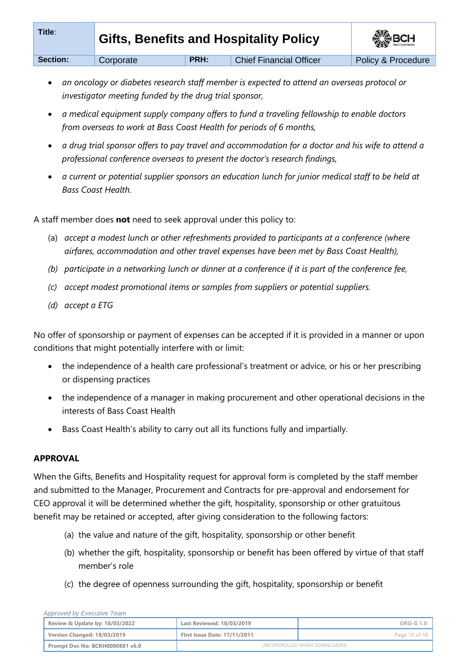| Title:   | <b>Gifts, Benefits and Hospitality Policy</b> | <b>SEP BCH</b> |                                |                    |
|----------|-----------------------------------------------|----------------|--------------------------------|--------------------|
| Section: | Corporate                                     | PRH:           | <b>Chief Financial Officer</b> | Policy & Procedure |

- *an oncology or diabetes research staff member is expected to attend an overseas protocol or investigator meeting funded by the drug trial sponsor,*
- *a medical equipment supply company offers to fund a traveling fellowship to enable doctors from overseas to work at Bass Coast Health for periods of 6 months,*
- *a drug trial sponsor offers to pay travel and accommodation for a doctor and his wife to attend a professional conference overseas to present the doctor's research findings,*
- *a current or potential supplier sponsors an education lunch for junior medical staff to be held at Bass Coast Health.*

A staff member does **not** need to seek approval under this policy to:

- (a) *accept a modest lunch or other refreshments provided to participants at a conference (where airfares, accommodation and other travel expenses have been met by Bass Coast Health),*
- *(b) participate in a networking lunch or dinner at a conference if it is part of the conference fee,*
- *(c) accept modest promotional items or samples from suppliers or potential suppliers.*
- *(d) accept a ETG*

No offer of sponsorship or payment of expenses can be accepted if it is provided in a manner or upon conditions that might potentially interfere with or limit:

- the independence of a health care professional's treatment or advice, or his or her prescribing or dispensing practices
- the independence of a manager in making procurement and other operational decisions in the interests of Bass Coast Health
- Bass Coast Health's ability to carry out all its functions fully and impartially.

## **APPROVAL**

When the Gifts, Benefits and Hospitality request for approval form is completed by the staff member and submitted to the Manager, Procurement and Contracts for pre-approval and endorsement for CEO approval it will be determined whether the gift, hospitality, sponsorship or other gratuitous benefit may be retained or accepted, after giving consideration to the following factors:

- (a) the value and nature of the gift, hospitality, sponsorship or other benefit
- (b) whether the gift, hospitality, sponsorship or benefit has been offered by virtue of that staff member's role
- (c) the degree of openness surrounding the gift, hospitality, sponsorship or benefit

| Approved by Executive Team      |                                     |                              |
|---------------------------------|-------------------------------------|------------------------------|
| Review & Update by: 18/03/2022  | Last Reviewed: 18/03/2019           | ORG-G 1.0                    |
| Version Changed: 18/03/2019     | <b>First Issue Date: 17/11/2011</b> | Page 10 of 18                |
| Prompt Doc No: BCRH0000881 v6.0 |                                     | UNCONTROLLED WHEN DOWNLOADED |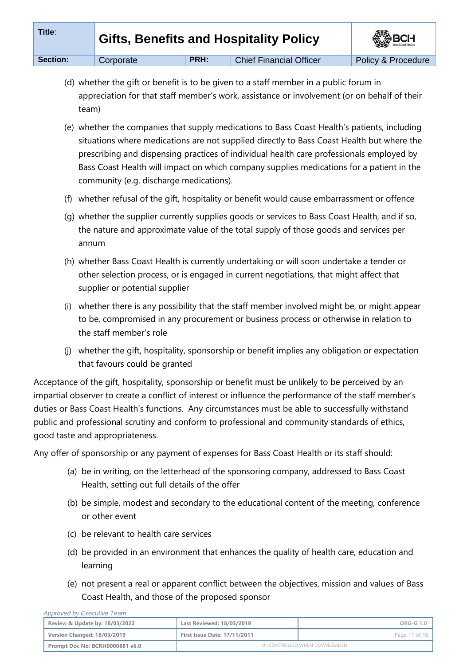| Title:   | <b>Gifts, Benefits and Hospitality Policy</b> | <b>ASSISSION</b> |                                |                    |
|----------|-----------------------------------------------|------------------|--------------------------------|--------------------|
| Section: | Corporate                                     | PRH:             | <b>Chief Financial Officer</b> | Policy & Procedure |

- (d) whether the gift or benefit is to be given to a staff member in a public forum in appreciation for that staff member's work, assistance or involvement (or on behalf of their team)
- (e) whether the companies that supply medications to Bass Coast Health's patients, including situations where medications are not supplied directly to Bass Coast Health but where the prescribing and dispensing practices of individual health care professionals employed by Bass Coast Health will impact on which company supplies medications for a patient in the community (e.g. discharge medications).
- (f) whether refusal of the gift, hospitality or benefit would cause embarrassment or offence
- (g) whether the supplier currently supplies goods or services to Bass Coast Health, and if so, the nature and approximate value of the total supply of those goods and services per annum
- (h) whether Bass Coast Health is currently undertaking or will soon undertake a tender or other selection process, or is engaged in current negotiations, that might affect that supplier or potential supplier
- (i) whether there is any possibility that the staff member involved might be, or might appear to be, compromised in any procurement or business process or otherwise in relation to the staff member's role
- (j) whether the gift, hospitality, sponsorship or benefit implies any obligation or expectation that favours could be granted

Acceptance of the gift, hospitality, sponsorship or benefit must be unlikely to be perceived by an impartial observer to create a conflict of interest or influence the performance of the staff member's duties or Bass Coast Health's functions. Any circumstances must be able to successfully withstand public and professional scrutiny and conform to professional and community standards of ethics, good taste and appropriateness.

Any offer of sponsorship or any payment of expenses for Bass Coast Health or its staff should:

- (a) be in writing, on the letterhead of the sponsoring company, addressed to Bass Coast Health, setting out full details of the offer
- (b) be simple, modest and secondary to the educational content of the meeting, conference or other event
- (c) be relevant to health care services
- (d) be provided in an environment that enhances the quality of health care, education and learning
- (e) not present a real or apparent conflict between the objectives, mission and values of Bass Coast Health, and those of the proposed sponsor

| Approved by Executive Team      |                                     |                              |
|---------------------------------|-------------------------------------|------------------------------|
| Review & Update by: 18/03/2022  | Last Reviewed: 18/03/2019           | ORG-G 1.0                    |
| Version Changed: 18/03/2019     | <b>First Issue Date: 17/11/2011</b> | Page 11 of 18                |
| Prompt Doc No: BCRH0000881 v6.0 |                                     | UNCONTROLLED WHEN DOWNLOADED |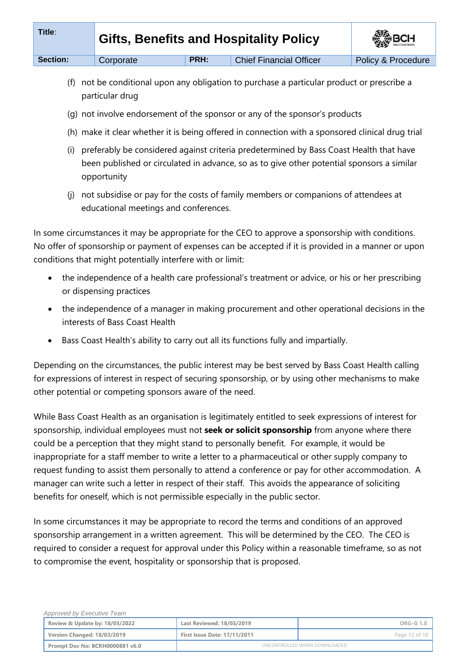| Title:   | <b>Gifts, Benefits and Hospitality Policy</b><br>PRH: |  | <b>SEP BCH</b>                 |                    |
|----------|-------------------------------------------------------|--|--------------------------------|--------------------|
| Section: | Corporate                                             |  | <b>Chief Financial Officer</b> | Policy & Procedure |

- (f) not be conditional upon any obligation to purchase a particular product or prescribe a particular drug
- (g) not involve endorsement of the sponsor or any of the sponsor's products
- (h) make it clear whether it is being offered in connection with a sponsored clinical drug trial
- (i) preferably be considered against criteria predetermined by Bass Coast Health that have been published or circulated in advance, so as to give other potential sponsors a similar opportunity
- (j) not subsidise or pay for the costs of family members or companions of attendees at educational meetings and conferences.

In some circumstances it may be appropriate for the CEO to approve a sponsorship with conditions. No offer of sponsorship or payment of expenses can be accepted if it is provided in a manner or upon conditions that might potentially interfere with or limit:

- the independence of a health care professional's treatment or advice, or his or her prescribing or dispensing practices
- the independence of a manager in making procurement and other operational decisions in the interests of Bass Coast Health
- Bass Coast Health's ability to carry out all its functions fully and impartially.

Depending on the circumstances, the public interest may be best served by Bass Coast Health calling for expressions of interest in respect of securing sponsorship, or by using other mechanisms to make other potential or competing sponsors aware of the need.

While Bass Coast Health as an organisation is legitimately entitled to seek expressions of interest for sponsorship, individual employees must not **seek or solicit sponsorship** from anyone where there could be a perception that they might stand to personally benefit. For example, it would be inappropriate for a staff member to write a letter to a pharmaceutical or other supply company to request funding to assist them personally to attend a conference or pay for other accommodation. A manager can write such a letter in respect of their staff. This avoids the appearance of soliciting benefits for oneself, which is not permissible especially in the public sector.

In some circumstances it may be appropriate to record the terms and conditions of an approved sponsorship arrangement in a written agreement. This will be determined by the CEO. The CEO is required to consider a request for approval under this Policy within a reasonable timeframe, so as not to compromise the event, hospitality or sponsorship that is proposed.

| Approved by Executive Team      |                                     |                              |
|---------------------------------|-------------------------------------|------------------------------|
| Review & Update by: 18/03/2022  | Last Reviewed: 18/03/2019           | ORG-G 1.0                    |
| Version Changed: 18/03/2019     | <b>First Issue Date: 17/11/2011</b> | Page 12 of 18                |
| Prompt Doc No: BCRH0000881 v6.0 |                                     | UNCONTROLLED WHEN DOWNLOADED |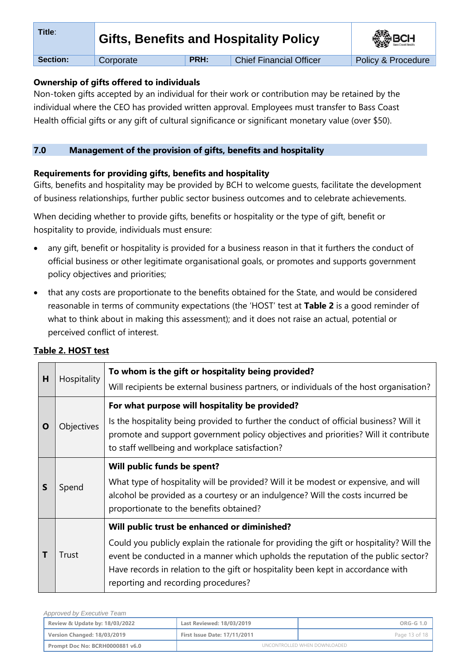| Title:   | <b>Gifts, Benefits and Hospitality Policy</b><br><b>PRH:</b> |  | <b>SEP BCH</b>                 |                    |
|----------|--------------------------------------------------------------|--|--------------------------------|--------------------|
| Section: | Corporate                                                    |  | <b>Chief Financial Officer</b> | Policy & Procedure |

## **Ownership of gifts offered to individuals**

Non-token gifts accepted by an individual for their work or contribution may be retained by the individual where the CEO has provided written approval. Employees must transfer to Bass Coast Health official gifts or any gift of cultural significance or significant monetary value (over \$50).

# **7.0 Management of the provision of gifts, benefits and hospitality**

# **Requirements for providing gifts, benefits and hospitality**

Gifts, benefits and hospitality may be provided by BCH to welcome guests, facilitate the development of business relationships, further public sector business outcomes and to celebrate achievements.

When deciding whether to provide gifts, benefits or hospitality or the type of gift, benefit or hospitality to provide, individuals must ensure:

- any gift, benefit or hospitality is provided for a business reason in that it furthers the conduct of official business or other legitimate organisational goals, or promotes and supports government policy objectives and priorities;
- that any costs are proportionate to the benefits obtained for the State, and would be considered reasonable in terms of community expectations (the 'HOST' test at **Table 2** is a good reminder of what to think about in making this assessment); and it does not raise an actual, potential or perceived conflict of interest.

| н | Hospitality | To whom is the gift or hospitality being provided?<br>Will recipients be external business partners, or individuals of the host organisation?                                                                                                                                                                                                            |
|---|-------------|----------------------------------------------------------------------------------------------------------------------------------------------------------------------------------------------------------------------------------------------------------------------------------------------------------------------------------------------------------|
| O | Objectives  | For what purpose will hospitality be provided?<br>Is the hospitality being provided to further the conduct of official business? Will it<br>promote and support government policy objectives and priorities? Will it contribute<br>to staff wellbeing and workplace satisfaction?                                                                        |
| S | Spend       | Will public funds be spent?<br>What type of hospitality will be provided? Will it be modest or expensive, and will<br>alcohol be provided as a courtesy or an indulgence? Will the costs incurred be<br>proportionate to the benefits obtained?                                                                                                          |
|   | Trust       | Will public trust be enhanced or diminished?<br>Could you publicly explain the rationale for providing the gift or hospitality? Will the<br>event be conducted in a manner which upholds the reputation of the public sector?<br>Have records in relation to the gift or hospitality been kept in accordance with<br>reporting and recording procedures? |

# **Table 2. HOST test**

 *Approved by Executive Team*

| Approved by Executive Team      |                                     |                              |
|---------------------------------|-------------------------------------|------------------------------|
| Review & Update by: 18/03/2022  | Last Reviewed: 18/03/2019           | $ORG-G 1.0$                  |
| Version Changed: 18/03/2019     | <b>First Issue Date: 17/11/2011</b> | Page 13 of 18                |
| Prompt Doc No: BCRH0000881 v6.0 |                                     | UNCONTROLLED WHEN DOWNLOADED |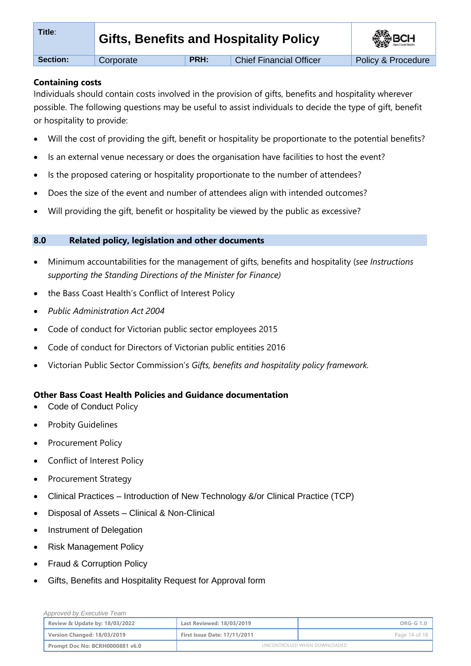| Title:          |           |             | Gifts, Benefits and Hospitality Policy | <b>BOH</b>         |
|-----------------|-----------|-------------|----------------------------------------|--------------------|
| <b>Section:</b> | Corporate | <b>PRH:</b> | <b>Chief Financial Officer</b>         | Policy & Procedure |

## **Containing costs**

Individuals should contain costs involved in the provision of gifts, benefits and hospitality wherever possible. The following questions may be useful to assist individuals to decide the type of gift, benefit or hospitality to provide:

- Will the cost of providing the gift, benefit or hospitality be proportionate to the potential benefits?
- Is an external venue necessary or does the organisation have facilities to host the event?
- Is the proposed catering or hospitality proportionate to the number of attendees?
- Does the size of the event and number of attendees align with intended outcomes?
- Will providing the gift, benefit or hospitality be viewed by the public as excessive?

### **8.0 Related policy, legislation and other documents**

- Minimum accountabilities for the management of gifts, benefits and hospitality (*see Instructions supporting the Standing Directions of the Minister for Finance)*
- the Bass Coast Health's Conflict of Interest Policy
- *Public Administration Act 2004*
- Code of conduct for Victorian public sector employees 2015
- Code of conduct for Directors of Victorian public entities 2016
- Victorian Public Sector Commission's *Gifts, benefits and hospitality policy framework.*

## **Other Bass Coast Health Policies and Guidance documentation**

- [Code of Conduct](https://system.prompt.org.au/download/document.aspx?id=20139211&code=025CCA5EBB5A0BD8A3A3FC5BC371DD74) Policy
- Probity Guidelines
- Procurement Policy
- Conflict of Interest Policy
- Procurement Strategy
- Clinical Practices [Introduction of New Technology &/or Clinical Practice \(TCP\)](https://system.prompt.org.au/download/document.aspx?id=11465519&code=E9C3F280AF936B3F757E5AE8403F1A92)
- Disposal of Assets [Clinical & Non-Clinical](https://system.prompt.org.au/download/document.aspx?id=14888668&code=AC44A0B1FA27FD4F1D571A68C87A1BD3)
- [Instrument of Delegation](https://system.prompt.org.au/download/document.aspx?id=23032098&code=3F940FA77C2EF16CE35E9949187FFE6F)
- [Risk Management Policy](https://system.prompt.org.au/download/document.aspx?id=23104850&code=6B67B1DF515F19F646A51A78F47D4165)
- [Fraud](https://system.prompt.org.au/download/document.aspx?id=11461728&code=AE21489F38105F3FB5561D6FB2B45560) & Corruption Policy

 *Approved by Executive Team*

Gifts, Benefits and Hospitality Request for Approval form

| There is a provided to the provided the second to the second the second to the second the second to the second the second to the second to the second to the second to the second to the second to the second to the second to |                                     |                              |
|--------------------------------------------------------------------------------------------------------------------------------------------------------------------------------------------------------------------------------|-------------------------------------|------------------------------|
| Review & Update by: 18/03/2022                                                                                                                                                                                                 | Last Reviewed: 18/03/2019           | ORG-G 1.0                    |
| Version Changed: 18/03/2019                                                                                                                                                                                                    | <b>First Issue Date: 17/11/2011</b> | Page 14 of 18                |
| Prompt Doc No: BCRH0000881 v6.0                                                                                                                                                                                                |                                     | UNCONTROLLED WHEN DOWNLOADED |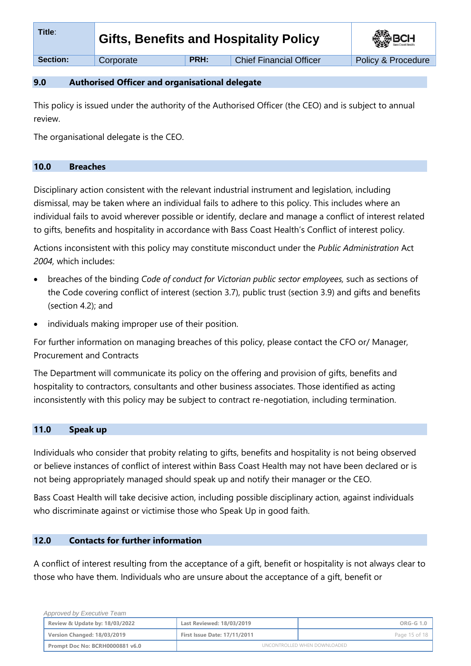| Title:          | <b>Gifts, Benefits and Hospitality Policy</b> |      | <b>SEP BCH</b>                 |                    |
|-----------------|-----------------------------------------------|------|--------------------------------|--------------------|
| <b>Section:</b> | Corporate                                     | PRH: | <b>Chief Financial Officer</b> | Policy & Procedure |

### **9.0 Authorised Officer and organisational delegate**

This policy is issued under the authority of the Authorised Officer (the CEO) and is subject to annual review.

The organisational delegate is the CEO.

#### **10.0 Breaches**

Disciplinary action consistent with the relevant industrial instrument and legislation, including dismissal, may be taken where an individual fails to adhere to this policy. This includes where an individual fails to avoid wherever possible or identify, declare and manage a conflict of interest related to gifts, benefits and hospitality in accordance with Bass Coast Health's Conflict of interest policy.

Actions inconsistent with this policy may constitute misconduct under the *Public Administration* Act *2004,* which includes:

- breaches of the binding *Code of conduct for Victorian public sector employees,* such as sections of the Code covering conflict of interest (section 3.7), public trust (section 3.9) and gifts and benefits (section 4.2); and
- individuals making improper use of their position.

For further information on managing breaches of this policy, please contact the CFO or/ Manager, Procurement and Contracts

The Department will communicate its policy on the offering and provision of gifts, benefits and hospitality to contractors, consultants and other business associates. Those identified as acting inconsistently with this policy may be subject to contract re-negotiation, including termination.

## **11.0 Speak up**

Individuals who consider that probity relating to gifts, benefits and hospitality is not being observed or believe instances of conflict of interest within Bass Coast Health may not have been declared or is not being appropriately managed should speak up and notify their manager or the CEO.

Bass Coast Health will take decisive action, including possible disciplinary action, against individuals who discriminate against or victimise those who Speak Up in good faith.

#### **12.0 Contacts for further information**

A conflict of interest resulting from the acceptance of a gift, benefit or hospitality is not always clear to those who have them. Individuals who are unsure about the acceptance of a gift, benefit or

| Approved by Executive Team      |                                     |                              |
|---------------------------------|-------------------------------------|------------------------------|
| Review & Update by: 18/03/2022  | Last Reviewed: 18/03/2019           | $ORG-G1.0$                   |
| Version Changed: 18/03/2019     | <b>First Issue Date: 17/11/2011</b> | Page 15 of 18                |
| Prompt Doc No: BCRH0000881 v6.0 |                                     | UNCONTROLLED WHEN DOWNLOADED |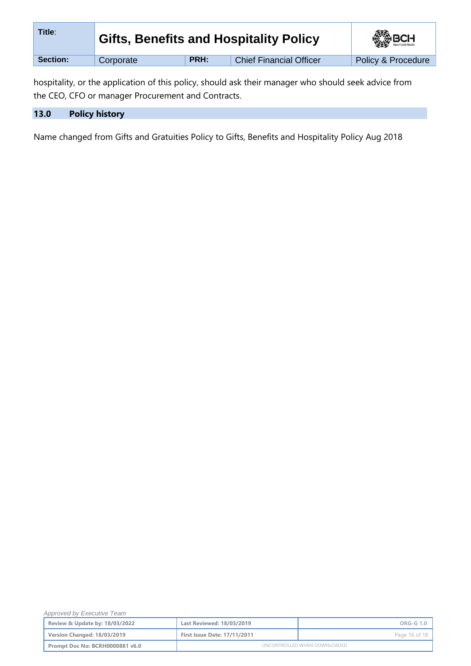| Title:   | <b>Gifts, Benefits and Hospitality Policy</b> |      | <b>BOH</b>                     |                    |
|----------|-----------------------------------------------|------|--------------------------------|--------------------|
| Section: | Corporate                                     | PRH: | <b>Chief Financial Officer</b> | Policy & Procedure |

hospitality, or the application of this policy, should ask their manager who should seek advice from the CEO, CFO or manager Procurement and Contracts.

| 13.0 | <b>Policy history</b> |  |
|------|-----------------------|--|
|      |                       |  |

Name changed from Gifts and Gratuities Policy to Gifts, Benefits and Hospitality Policy Aug 2018

| Approved by Executive Team      |                                     |               |
|---------------------------------|-------------------------------------|---------------|
| Review & Update by: 18/03/2022  | Last Reviewed: 18/03/2019           | ORG-G 1.0     |
| Version Changed: 18/03/2019     | <b>First Issue Date: 17/11/2011</b> | Page 16 of 18 |
| Prompt Doc No: BCRH0000881 v6.0 | UNCONTROLLED WHEN DOWNLOADED        |               |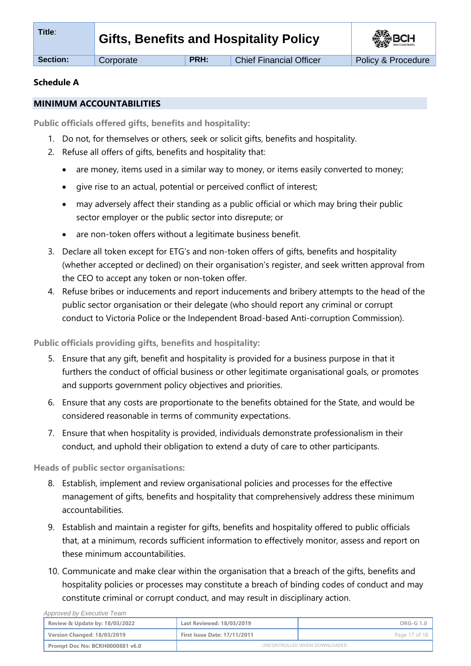**Section:** Corporate **PRH:** Chief Financial Officer Policy & Procedure

## **Schedule A**

## **MINIMUM ACCOUNTABILITIES**

**Public officials offered gifts, benefits and hospitality:** 

- 1. Do not, for themselves or others, seek or solicit gifts, benefits and hospitality.
- 2. Refuse all offers of gifts, benefits and hospitality that:
	- are money, items used in a similar way to money, or items easily converted to money;
	- give rise to an actual, potential or perceived conflict of interest;
	- may adversely affect their standing as a public official or which may bring their public sector employer or the public sector into disrepute; or
	- are non-token offers without a legitimate business benefit.
- 3. Declare all token except for ETG's and non-token offers of gifts, benefits and hospitality (whether accepted or declined) on their organisation's register, and seek written approval from the CEO to accept any token or non-token offer.
- 4. Refuse bribes or inducements and report inducements and bribery attempts to the head of the public sector organisation or their delegate (who should report any criminal or corrupt conduct to Victoria Police or the Independent Broad-based Anti-corruption Commission).

# **Public officials providing gifts, benefits and hospitality:**

- 5. Ensure that any gift, benefit and hospitality is provided for a business purpose in that it furthers the conduct of official business or other legitimate organisational goals, or promotes and supports government policy objectives and priorities.
- 6. Ensure that any costs are proportionate to the benefits obtained for the State, and would be considered reasonable in terms of community expectations.
- 7. Ensure that when hospitality is provided, individuals demonstrate professionalism in their conduct, and uphold their obligation to extend a duty of care to other participants.

**Heads of public sector organisations:**

- 8. Establish, implement and review organisational policies and processes for the effective management of gifts, benefits and hospitality that comprehensively address these minimum accountabilities.
- 9. Establish and maintain a register for gifts, benefits and hospitality offered to public officials that, at a minimum, records sufficient information to effectively monitor, assess and report on these minimum accountabilities.
- 10. Communicate and make clear within the organisation that a breach of the gifts, benefits and hospitality policies or processes may constitute a breach of binding codes of conduct and may constitute criminal or corrupt conduct, and may result in disciplinary action.

 *Approved by Executive Team* **Review & Update by: 18/03/2022 Last Reviewed: 18/03/2019 ORG-G 1.0 Version Changed: 18/03/2019 First Issue Date: 17/11/2011 Page 17 of 18** Page 17 of 18 **Prompt Doc No: BCRH0000881 v6.0** UNCONTROLLED WHEN DOWNLOADED